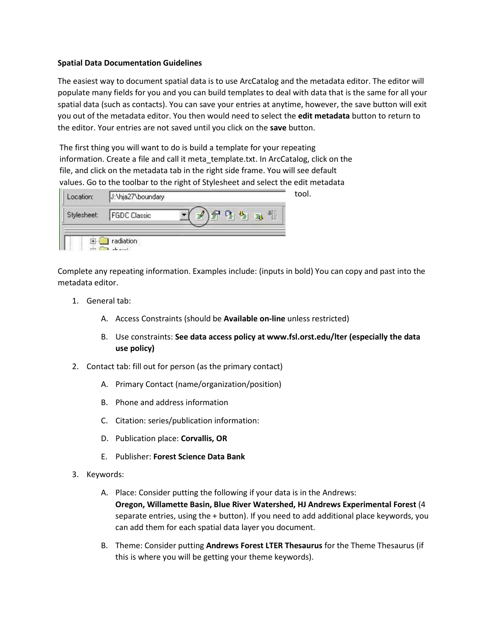#### **Spatial Data Documentation Guidelines**

The easiest way to document spatial data is to use ArcCatalog and the metadata editor. The editor will populate many fields for you and you can build templates to deal with data that is the same for all your spatial data (such as contacts). You can save your entries at anytime, however, the save button will exit you out of the metadata editor. You then would need to select the **edit metadata** button to return to the editor. Your entries are not saved until you click on the **save** button.

The first thing you will want to do is build a template for your repeating information. Create a file and call it meta template.txt. In ArcCatalog, click on the file, and click on the metadata tab in the right side frame. You will see default values. Go to the toolbar to the right of Stylesheet and select the edit metadata

| Location:   | J:\hja27\boundary |  |
|-------------|-------------------|--|
| Stylesheet: | FGDC Classic      |  |
|             | radiation         |  |

Complete any repeating information. Examples include: (inputs in bold) You can copy and past into the metadata editor.

- 1. General tab:
	- A. Access Constraints (should be **Available on-line** unless restricted)
	- B. Use constraints: **See data access policy at www.fsl.orst.edu/lter (especially the data use policy)**

tool.

- 2. Contact tab: fill out for person (as the primary contact)
	- A. Primary Contact (name/organization/position)
	- B. Phone and address information
	- C. Citation: series/publication information:
	- D. Publication place: **Corvallis, OR**
	- E. Publisher: **Forest Science Data Bank**
- 3. Keywords:
	- A. Place: Consider putting the following if your data is in the Andrews: **Oregon, Willamette Basin, Blue River Watershed, HJ Andrews Experimental Forest** (4 separate entries, using the + button). If you need to add additional place keywords, you can add them for each spatial data layer you document.
	- B. Theme: Consider putting **Andrews Forest LTER Thesaurus** for the Theme Thesaurus (if this is where you will be getting your theme keywords).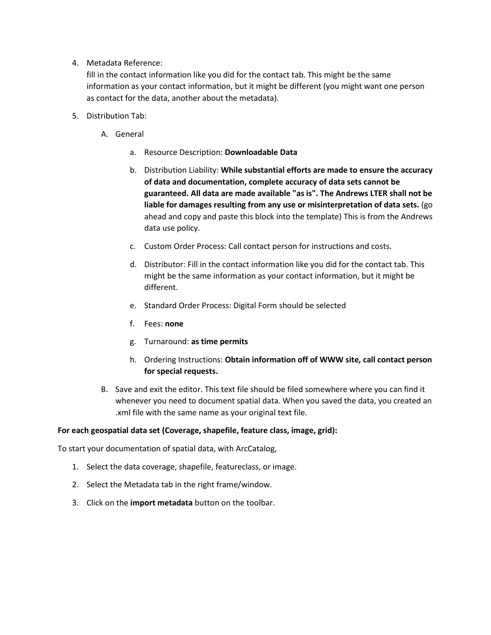4. Metadata Reference:

fill in the contact information like you did for the contact tab. This might be the same information as your contact information, but it might be different (you might want one person as contact for the data, another about the metadata).

- 5. Distribution Tab:
	- A. General
		- a. Resource Description: **Downloadable Data**
		- b. Distribution Liability: **While substantial efforts are made to ensure the accuracy of data and documentation, complete accuracy of data sets cannot be guaranteed. All data are made available "as is". The Andrews LTER shall not be liable for damages resulting from any use or misinterpretation of data sets.** (go ahead and copy and paste this block into the template) This is from the Andrews data use policy.
		- c. Custom Order Process: Call contact person for instructions and costs.
		- d. Distributor: Fill in the contact information like you did for the contact tab. This might be the same information as your contact information, but it might be different.
		- e. Standard Order Process: Digital Form should be selected
		- f. Fees: **none**
		- g. Turnaround: **as time permits**
		- h. Ordering Instructions: **Obtain information off of WWW site, call contact person for special requests.**
	- B. Save and exit the editor. This text file should be filed somewhere where you can find it whenever you need to document spatial data. When you saved the data, you created an .xml file with the same name as your original text file.

### **For each geospatial data set (Coverage, shapefile, feature class, image, grid):**

To start your documentation of spatial data, with ArcCatalog,

- 1. Select the data coverage, shapefile, featureclass, or image.
- 2. Select the Metadata tab in the right frame/window.
- 3. Click on the **import metadata** button on the toolbar.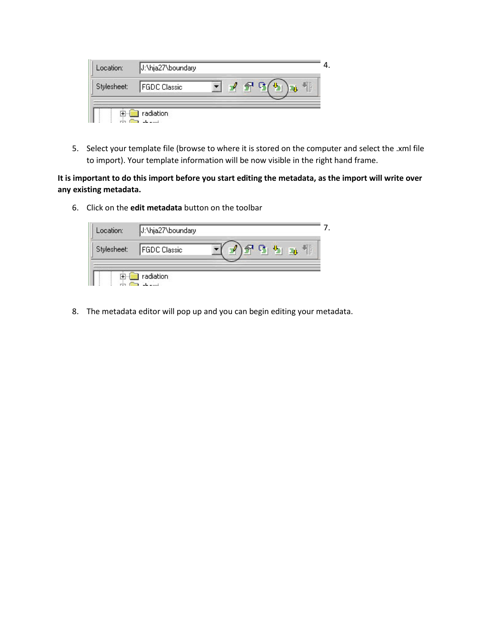| Location:   | J:\hja27\boundary |  |   |  |
|-------------|-------------------|--|---|--|
| Stylesheet: | FGDC Classic      |  | ŧ |  |
|             | radiation         |  |   |  |

5. Select your template file (browse to where it is stored on the computer and select the .xml file to import). Your template information will be now visible in the right hand frame.

**It is important to do this import before you start editing the metadata, as the import will write over any existing metadata.**

6. Click on the **edit metadata** button on the toolbar

| Location:   | J:\hja27\boundary |        |
|-------------|-------------------|--------|
| Stylesheet: | FGDC Classic      | Ë<br>画 |
|             |                   |        |

8. The metadata editor will pop up and you can begin editing your metadata.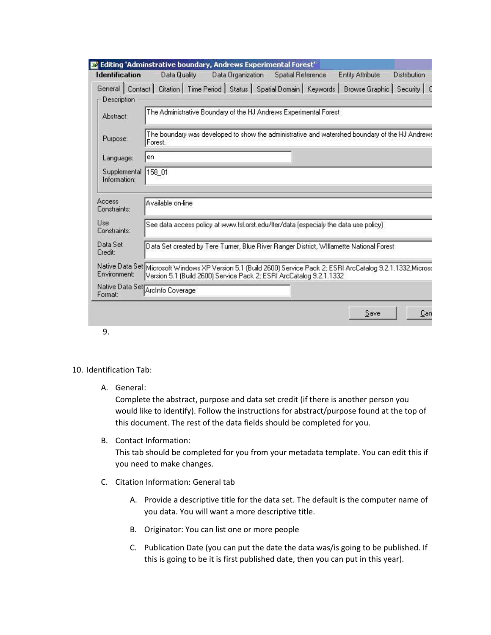| The Administrative Boundary of the HJ Andrews Experimental Forest |                                                       |  |  | General   Contact   Citation   Time Period   Status   Spatial Domain   Keywords   Browse Graphic | Security<br>The boundary was developed to show the administrative and watershed boundary of the HJ Andrews                                                                                                                                                                                                   |
|-------------------------------------------------------------------|-------------------------------------------------------|--|--|--------------------------------------------------------------------------------------------------|--------------------------------------------------------------------------------------------------------------------------------------------------------------------------------------------------------------------------------------------------------------------------------------------------------------|
|                                                                   |                                                       |  |  |                                                                                                  |                                                                                                                                                                                                                                                                                                              |
|                                                                   |                                                       |  |  |                                                                                                  |                                                                                                                                                                                                                                                                                                              |
|                                                                   |                                                       |  |  |                                                                                                  |                                                                                                                                                                                                                                                                                                              |
|                                                                   |                                                       |  |  |                                                                                                  |                                                                                                                                                                                                                                                                                                              |
|                                                                   |                                                       |  |  |                                                                                                  |                                                                                                                                                                                                                                                                                                              |
|                                                                   |                                                       |  |  |                                                                                                  |                                                                                                                                                                                                                                                                                                              |
|                                                                   |                                                       |  |  |                                                                                                  |                                                                                                                                                                                                                                                                                                              |
|                                                                   |                                                       |  |  |                                                                                                  |                                                                                                                                                                                                                                                                                                              |
|                                                                   |                                                       |  |  |                                                                                                  |                                                                                                                                                                                                                                                                                                              |
|                                                                   |                                                       |  |  |                                                                                                  |                                                                                                                                                                                                                                                                                                              |
|                                                                   | Available on-line<br>Native Data Set Arcinfo Coverage |  |  | Version 5.1 (Build 2600) Service Pack 2; ESRI ArcCatalog 9.2.1.1332                              | See data access policy at www.fsl.orst.edu/lter/data (especialy the data use policy)<br>Data Set created by Tere Turner, Blue River Ranger District, Willamette National Forest<br>Native Data Set Microsoft Windows XP Version 5.1 (Build 2600) Service Pack 2; ESRI ArcCatalog 9.2.1.1332, Microso<br>Save |

9.

- 10. Identification Tab:
	- A. General:

Complete the abstract, purpose and data set credit (if there is another person you would like to identify). Follow the instructions for abstract/purpose found at the top of this document. The rest of the data fields should be completed for you.

B. Contact Information:

This tab should be completed for you from your metadata template. You can edit this if you need to make changes.

- C. Citation Information: General tab
	- A. Provide a descriptive title for the data set. The default is the computer name of you data. You will want a more descriptive title.
	- B. Originator: You can list one or more people
	- C. Publication Date (you can put the date the data was/is going to be published. If this is going to be it is first published date, then you can put in this year).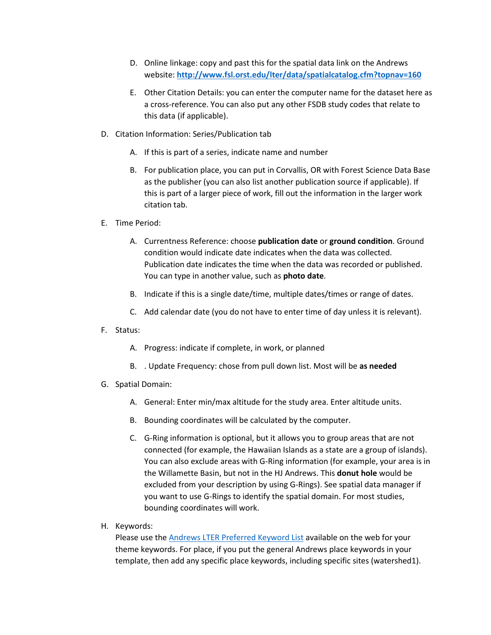- D. Online linkage: copy and past this for the spatial data link on the Andrews website: **<http://www.fsl.orst.edu/lter/data/spatialcatalog.cfm?topnav=160>**
- E. Other Citation Details: you can enter the computer name for the dataset here as a cross-reference. You can also put any other FSDB study codes that relate to this data (if applicable).
- D. Citation Information: Series/Publication tab
	- A. If this is part of a series, indicate name and number
	- B. For publication place, you can put in Corvallis, OR with Forest Science Data Base as the publisher (you can also list another publication source if applicable). If this is part of a larger piece of work, fill out the information in the larger work citation tab.
- E. Time Period:
	- A. Currentness Reference: choose **publication date** or **ground condition**. Ground condition would indicate date indicates when the data was collected. Publication date indicates the time when the data was recorded or published. You can type in another value, such as **photo date**.
	- B. Indicate if this is a single date/time, multiple dates/times or range of dates.
	- C. Add calendar date (you do not have to enter time of day unless it is relevant).
- F. Status:
	- A. Progress: indicate if complete, in work, or planned
	- B. . Update Frequency: chose from pull down list. Most will be **as needed**
- G. Spatial Domain:
	- A. General: Enter min/max altitude for the study area. Enter altitude units.
	- B. Bounding coordinates will be calculated by the computer.
	- C. G-Ring information is optional, but it allows you to group areas that are not connected (for example, the Hawaiian Islands as a state are a group of islands). You can also exclude areas with G-Ring information (for example, your area is in the Willamette Basin, but not in the HJ Andrews. This **donut hole** would be excluded from your description by using G-Rings). See spatial data manager if you want to use G-Rings to identify the spatial domain. For most studies, bounding coordinates will work.
- H. Keywords:

Please use the [Andrews LTER Preferred Keyword List](http://www.fsl.orst.edu/lter/data/metadata/keylist4_hier.doc) available on the web for your theme keywords. For place, if you put the general Andrews place keywords in your template, then add any specific place keywords, including specific sites (watershed1).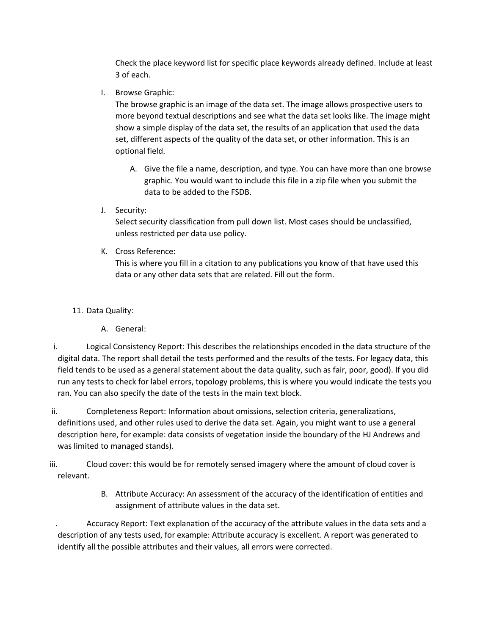Check the place keyword list for specific place keywords already defined. Include at least 3 of each.

I. Browse Graphic:

The browse graphic is an image of the data set. The image allows prospective users to more beyond textual descriptions and see what the data set looks like. The image might show a simple display of the data set, the results of an application that used the data set, different aspects of the quality of the data set, or other information. This is an optional field.

- A. Give the file a name, description, and type. You can have more than one browse graphic. You would want to include this file in a zip file when you submit the data to be added to the FSDB.
- J. Security:

Select security classification from pull down list. Most cases should be unclassified, unless restricted per data use policy.

K. Cross Reference:

This is where you fill in a citation to any publications you know of that have used this data or any other data sets that are related. Fill out the form.

- 11. Data Quality:
	- A. General:
- i. Logical Consistency Report: This describes the relationships encoded in the data structure of the digital data. The report shall detail the tests performed and the results of the tests. For legacy data, this field tends to be used as a general statement about the data quality, such as fair, poor, good). If you did run any tests to check for label errors, topology problems, this is where you would indicate the tests you ran. You can also specify the date of the tests in the main text block.
- ii. Completeness Report: Information about omissions, selection criteria, generalizations, definitions used, and other rules used to derive the data set. Again, you might want to use a general description here, for example: data consists of vegetation inside the boundary of the HJ Andrews and was limited to managed stands).
- iii. Cloud cover: this would be for remotely sensed imagery where the amount of cloud cover is relevant.
	- B. Attribute Accuracy: An assessment of the accuracy of the identification of entities and assignment of attribute values in the data set.

. Accuracy Report: Text explanation of the accuracy of the attribute values in the data sets and a description of any tests used, for example: Attribute accuracy is excellent. A report was generated to identify all the possible attributes and their values, all errors were corrected.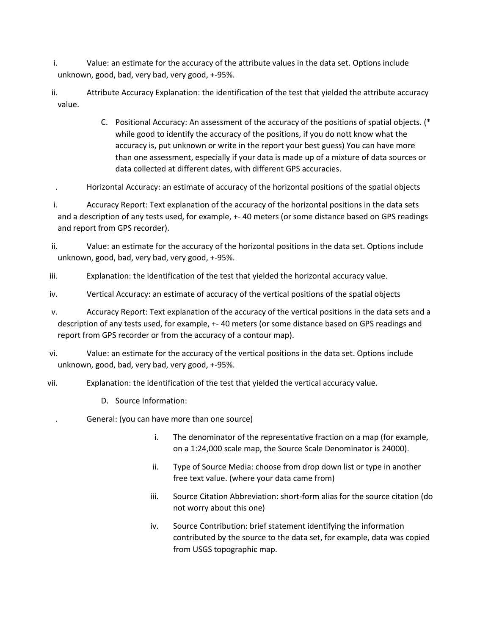i. Value: an estimate for the accuracy of the attribute values in the data set. Options include unknown, good, bad, very bad, very good, +-95%.

- ii. Attribute Accuracy Explanation: the identification of the test that yielded the attribute accuracy value.
	- C. Positional Accuracy: An assessment of the accuracy of the positions of spatial objects. (\* while good to identify the accuracy of the positions, if you do nott know what the accuracy is, put unknown or write in the report your best guess) You can have more than one assessment, especially if your data is made up of a mixture of data sources or data collected at different dates, with different GPS accuracies.
- . Horizontal Accuracy: an estimate of accuracy of the horizontal positions of the spatial objects

i. Accuracy Report: Text explanation of the accuracy of the horizontal positions in the data sets and a description of any tests used, for example, +- 40 meters (or some distance based on GPS readings and report from GPS recorder).

- ii. Value: an estimate for the accuracy of the horizontal positions in the data set. Options include unknown, good, bad, very bad, very good, +-95%.
- iii. Explanation: the identification of the test that yielded the horizontal accuracy value.
- iv. Vertical Accuracy: an estimate of accuracy of the vertical positions of the spatial objects
- v. Accuracy Report: Text explanation of the accuracy of the vertical positions in the data sets and a description of any tests used, for example, +- 40 meters (or some distance based on GPS readings and report from GPS recorder or from the accuracy of a contour map).
- vi. Value: an estimate for the accuracy of the vertical positions in the data set. Options include unknown, good, bad, very bad, very good, +-95%.
- vii. Explanation: the identification of the test that yielded the vertical accuracy value.
	- D. Source Information:
	- . General: (you can have more than one source)
		- i. The denominator of the representative fraction on a map (for example, on a 1:24,000 scale map, the Source Scale Denominator is 24000).
		- ii. Type of Source Media: choose from drop down list or type in another free text value. (where your data came from)
		- iii. Source Citation Abbreviation: short-form alias for the source citation (do not worry about this one)
		- iv. Source Contribution: brief statement identifying the information contributed by the source to the data set, for example, data was copied from USGS topographic map.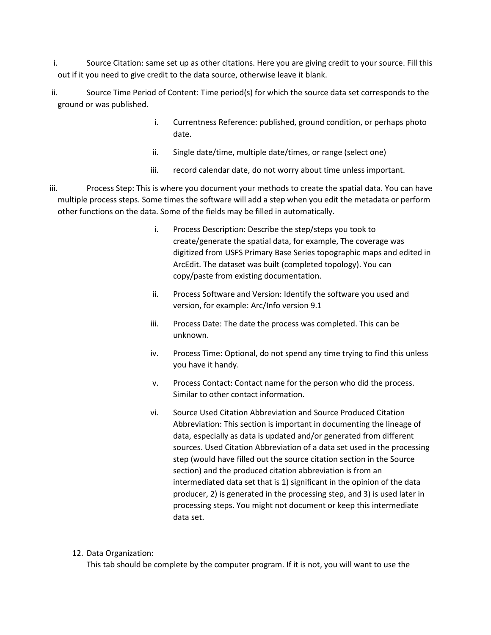i. Source Citation: same set up as other citations. Here you are giving credit to your source. Fill this out if it you need to give credit to the data source, otherwise leave it blank.

ii. Source Time Period of Content: Time period(s) for which the source data set corresponds to the ground or was published.

- i. Currentness Reference: published, ground condition, or perhaps photo date.
- ii. Single date/time, multiple date/times, or range (select one)
- iii. record calendar date, do not worry about time unless important.
- iii. Process Step: This is where you document your methods to create the spatial data. You can have multiple process steps. Some times the software will add a step when you edit the metadata or perform other functions on the data. Some of the fields may be filled in automatically.
	- i. Process Description: Describe the step/steps you took to create/generate the spatial data, for example, The coverage was digitized from USFS Primary Base Series topographic maps and edited in ArcEdit. The dataset was built (completed topology). You can copy/paste from existing documentation.
	- ii. Process Software and Version: Identify the software you used and version, for example: Arc/Info version 9.1
	- iii. Process Date: The date the process was completed. This can be unknown.
	- iv. Process Time: Optional, do not spend any time trying to find this unless you have it handy.
	- v. Process Contact: Contact name for the person who did the process. Similar to other contact information.
	- vi. Source Used Citation Abbreviation and Source Produced Citation Abbreviation: This section is important in documenting the lineage of data, especially as data is updated and/or generated from different sources. Used Citation Abbreviation of a data set used in the processing step (would have filled out the source citation section in the Source section) and the produced citation abbreviation is from an intermediated data set that is 1) significant in the opinion of the data producer, 2) is generated in the processing step, and 3) is used later in processing steps. You might not document or keep this intermediate data set.

# 12. Data Organization:

This tab should be complete by the computer program. If it is not, you will want to use the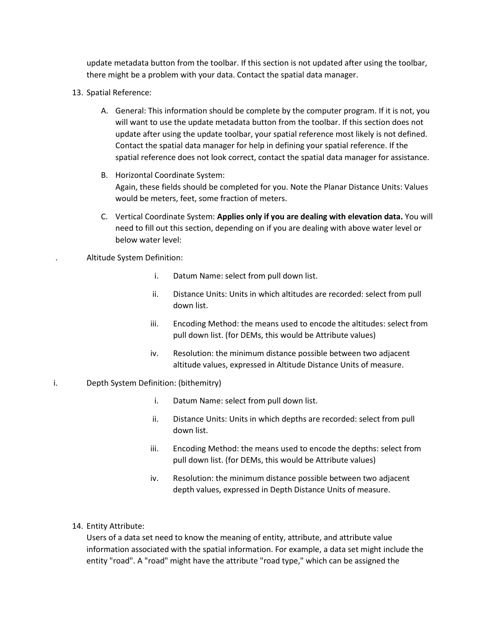update metadata button from the toolbar. If this section is not updated after using the toolbar, there might be a problem with your data. Contact the spatial data manager.

- 13. Spatial Reference:
	- A. General: This information should be complete by the computer program. If it is not, you will want to use the update metadata button from the toolbar. If this section does not update after using the update toolbar, your spatial reference most likely is not defined. Contact the spatial data manager for help in defining your spatial reference. If the spatial reference does not look correct, contact the spatial data manager for assistance.
	- B. Horizontal Coordinate System: Again, these fields should be completed for you. Note the Planar Distance Units: Values would be meters, feet, some fraction of meters.
	- C. Vertical Coordinate System: **Applies only if you are dealing with elevation data.** You will need to fill out this section, depending on if you are dealing with above water level or below water level:

. Altitude System Definition:

- i. Datum Name: select from pull down list.
- ii. Distance Units: Units in which altitudes are recorded: select from pull down list.
- iii. Encoding Method: the means used to encode the altitudes: select from pull down list. (for DEMs, this would be Attribute values)
- iv. Resolution: the minimum distance possible between two adjacent altitude values, expressed in Altitude Distance Units of measure.
- i. Depth System Definition: (bithemitry)
	- i. Datum Name: select from pull down list.
	- ii. Distance Units: Units in which depths are recorded: select from pull down list.
	- iii. Encoding Method: the means used to encode the depths: select from pull down list. (for DEMs, this would be Attribute values)
	- iv. Resolution: the minimum distance possible between two adjacent depth values, expressed in Depth Distance Units of measure.
	- 14. Entity Attribute:

Users of a data set need to know the meaning of entity, attribute, and attribute value information associated with the spatial information. For example, a data set might include the entity "road". A "road" might have the attribute "road type," which can be assigned the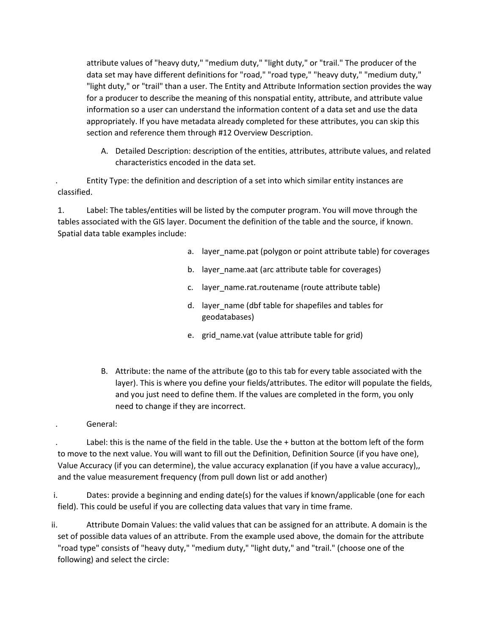attribute values of "heavy duty," "medium duty," "light duty," or "trail." The producer of the data set may have different definitions for "road," "road type," "heavy duty," "medium duty," "light duty," or "trail" than a user. The Entity and Attribute Information section provides the way for a producer to describe the meaning of this nonspatial entity, attribute, and attribute value information so a user can understand the information content of a data set and use the data appropriately. If you have metadata already completed for these attributes, you can skip this section and reference them through #12 Overview Description.

A. Detailed Description: description of the entities, attributes, attribute values, and related characteristics encoded in the data set.

. Entity Type: the definition and description of a set into which similar entity instances are classified.

1. Label: The tables/entities will be listed by the computer program. You will move through the tables associated with the GIS layer. Document the definition of the table and the source, if known. Spatial data table examples include:

- a. layer\_name.pat (polygon or point attribute table) for coverages
- b. layer\_name.aat (arc attribute table for coverages)
- c. layer\_name.rat.routename (route attribute table)
- d. layer\_name (dbf table for shapefiles and tables for geodatabases)
- e. grid\_name.vat (value attribute table for grid)
- B. Attribute: the name of the attribute (go to this tab for every table associated with the layer). This is where you define your fields/attributes. The editor will populate the fields, and you just need to define them. If the values are completed in the form, you only need to change if they are incorrect.
- . General:

Label: this is the name of the field in the table. Use the + button at the bottom left of the form to move to the next value. You will want to fill out the Definition, Definition Source (if you have one), Value Accuracy (if you can determine), the value accuracy explanation (if you have a value accuracy),, and the value measurement frequency (from pull down list or add another)

i. Dates: provide a beginning and ending date(s) for the values if known/applicable (one for each field). This could be useful if you are collecting data values that vary in time frame.

ii. Attribute Domain Values: the valid values that can be assigned for an attribute. A domain is the set of possible data values of an attribute. From the example used above, the domain for the attribute "road type" consists of "heavy duty," "medium duty," "light duty," and "trail." (choose one of the following) and select the circle: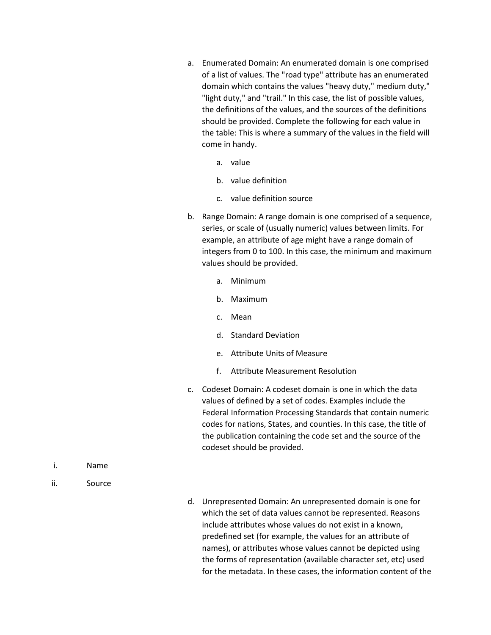- a. Enumerated Domain: An enumerated domain is one comprised of a list of values. The "road type" attribute has an enumerated domain which contains the values "heavy duty," medium duty," "light duty," and "trail." In this case, the list of possible values, the definitions of the values, and the sources of the definitions should be provided. Complete the following for each value in the table: This is where a summary of the values in the field will come in handy.
	- a. value
	- b. value definition
	- c. value definition source
- b. Range Domain: A range domain is one comprised of a sequence, series, or scale of (usually numeric) values between limits. For example, an attribute of age might have a range domain of integers from 0 to 100. In this case, the minimum and maximum values should be provided.
	- a. Minimum
	- b. Maximum
	- c. Mean
	- d. Standard Deviation
	- e. Attribute Units of Measure
	- f. Attribute Measurement Resolution
- c. Codeset Domain: A codeset domain is one in which the data values of defined by a set of codes. Examples include the Federal Information Processing Standards that contain numeric codes for nations, States, and counties. In this case, the title of the publication containing the code set and the source of the codeset should be provided.

- i. Name
- ii. Source

d. Unrepresented Domain: An unrepresented domain is one for which the set of data values cannot be represented. Reasons include attributes whose values do not exist in a known, predefined set (for example, the values for an attribute of names), or attributes whose values cannot be depicted using the forms of representation (available character set, etc) used for the metadata. In these cases, the information content of the